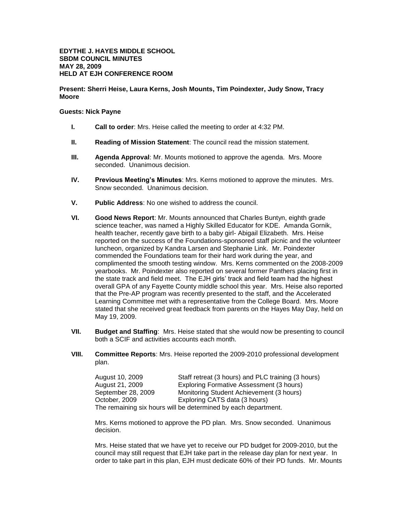## **Present: Sherri Heise, Laura Kerns, Josh Mounts, Tim Poindexter, Judy Snow, Tracy Moore**

## **Guests: Nick Payne**

- **I. Call to order**: Mrs. Heise called the meeting to order at 4:32 PM.
- **II. Reading of Mission Statement**: The council read the mission statement.
- **III. Agenda Approval**: Mr. Mounts motioned to approve the agenda. Mrs. Moore seconded. Unanimous decision.
- **IV. Previous Meeting's Minutes**: Mrs. Kerns motioned to approve the minutes. Mrs. Snow seconded. Unanimous decision.
- **V. Public Address**: No one wished to address the council.
- **VI. Good News Report**: Mr. Mounts announced that Charles Buntyn, eighth grade science teacher, was named a Highly Skilled Educator for KDE. Amanda Gornik, health teacher, recently gave birth to a baby girl- Abigail Elizabeth. Mrs. Heise reported on the success of the Foundations-sponsored staff picnic and the volunteer luncheon, organized by Kandra Larsen and Stephanie Link. Mr. Poindexter commended the Foundations team for their hard work during the year, and complimented the smooth testing window. Mrs. Kerns commented on the 2008-2009 yearbooks. Mr. Poindexter also reported on several former Panthers placing first in the state track and field meet. The EJH girls' track and field team had the highest overall GPA of any Fayette County middle school this year. Mrs. Heise also reported that the Pre-AP program was recently presented to the staff, and the Accelerated Learning Committee met with a representative from the College Board. Mrs. Moore stated that she received great feedback from parents on the Hayes May Day, held on May 19, 2009.
- **VII. Budget and Staffing**: Mrs. Heise stated that she would now be presenting to council both a SCIF and activities accounts each month.
- **VIII. Committee Reports**: Mrs. Heise reported the 2009-2010 professional development plan.

| August 10, 2009    | Staff retreat (3 hours) and PLC training (3 hours)             |
|--------------------|----------------------------------------------------------------|
| August 21, 2009    | Exploring Formative Assessment (3 hours)                       |
| September 28, 2009 | Monitoring Student Achievement (3 hours)                       |
| October, 2009      | Exploring CATS data (3 hours)                                  |
|                    | The remaining six hours will be determined by each department. |

Mrs. Kerns motioned to approve the PD plan. Mrs. Snow seconded. Unanimous decision.

Mrs. Heise stated that we have yet to receive our PD budget for 2009-2010, but the council may still request that EJH take part in the release day plan for next year. In order to take part in this plan, EJH must dedicate 60% of their PD funds. Mr. Mounts